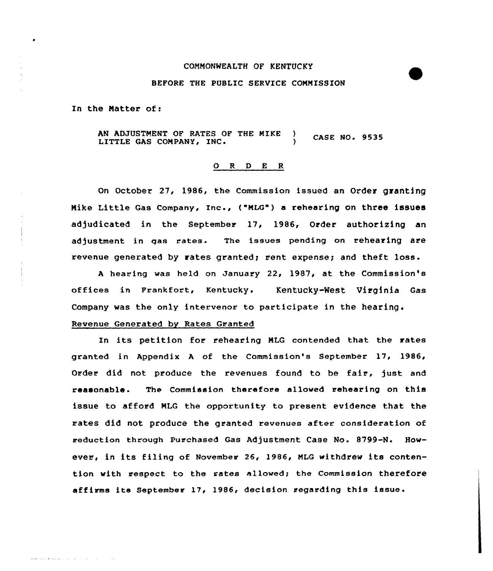#### COMNONWEALTH OF KENTUCKY

## BEFORE THE PUBLIC SERVICE CONNISSION

ln the Matter of:

المنادر والمنافر والمناطر والأنفر والمست

AN ADJUSTMENT OF RATES OF THE NIKE ) **CASE NO. 9535** LITTLE GAS COMPANY, INC.

### 0 <sup>R</sup> <sup>D</sup> E <sup>R</sup>

On October 27, 1986, the Commission issued an Order granting Mike Little Gas Company, Inc., ("NLG") <sup>a</sup> rehearing on three issues adjudicated in the September 17, 1986, Order authorizing an adjustment in gas rates. The issues pending on rehearing are revenue generated by rates granted; rent expense; and theft loss.

A hearing was held on January 22, 1987, at the Commission's offices in Frankfort, Kentucky. Kentucky-West Virginia Gas Company was the only intervenor to participate in the hearing.

# Revenue Generated by Rates Granted

In its petition for rehearing MLG contended that the rates granted in Appendix <sup>A</sup> of the Commission's September 17, 1986, Order did not produce the revenues found to be fair, just and reasonable. The Commission therefore allowed rehearing on this issue to afford NLG the opportunity to present evidence that the rates did not produce the granted revenues after consideration of reduction through Purchased Gas Adjustment Case No. 8799-N. However, in its filing of November 26, 1986, NLG withdrew its contention with respect to the rates allowed; the Commission therefore affirms its September 17, 1986, decision regarding this issue.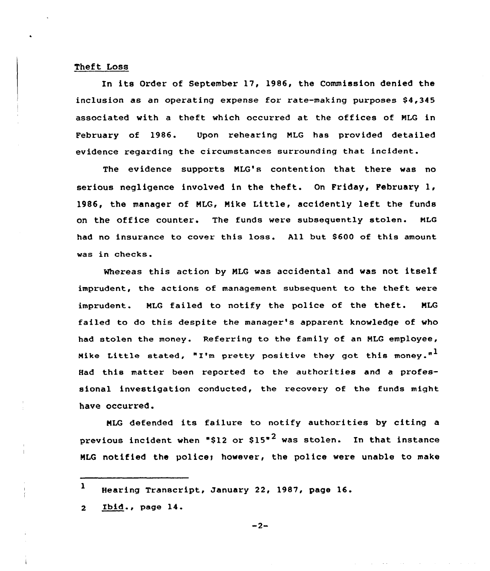# Theft Loss

In its Order of September 17, 1986, the Commission denied the inclusion as an operating expense for rate-making purposes  $$4,345$ associated with a theft which occurred at the offices of NLG in February of 1986. Upon rehearing MLG has provided detailed evidence regarding the circumstances surrounding that incident.

The evidence supports NLG's contention that there was no serious negligence involved in the theft. On Friday, February 1, 1986, the manager of NLG, Nike Little, accidently left the funds on the office counter. The funds weve subsequently stolen. NLG had no insurance to cover this loss. All but 8600 of this amount was in checks.

Whereas this action by NLG was accidental and was not itself imprudent, the actions of management subsequent to the theft were imprudent. NLG failed to notify the police of the theft. NLG failed to do this despite the manager's apparent knowledge of who had stolen the money. Referring to the family of an NLG employee, Mike Little stated, "I'm pretty positive they got this money."<sup>1</sup> Had this matter been reported to the authorities and a professional investigation conducted, the recovery of the funds might have occurred.

NLG defended its failure to notify authorities by citing <sup>a</sup> previous incident when "\$12 or  $$15"$ <sup>2</sup> was stolen. In that instance MLG notified the police; however, the police were unable to make

Ibid., page 14. $\overline{2}$ 

<sup>1</sup> Hearing Transcript, January 22, 1987, page 16.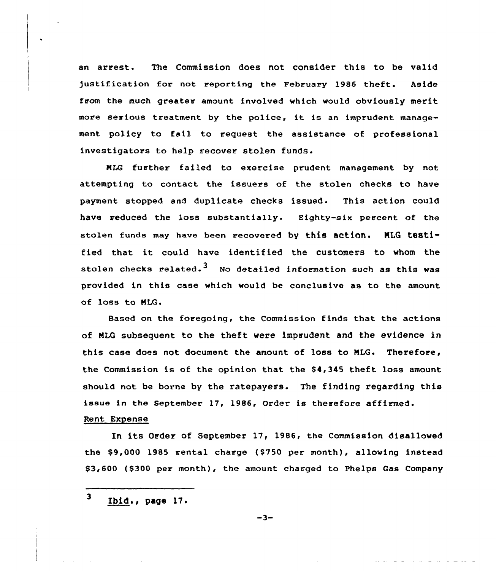an arrest. The Commission does not consider this to be valid )ustification for not reporting the February 1986 theft. Aside from the much greater amount involved which would obviously merit more serious treatment by the police, it is an imprudent management policy to fail to request the assistance of professional investigators to help recover stolen funds.

NLG further failed to exercise prudent management by not attempting to contact the issuers of the stolen checks to have payment stopped and duplicate checks issued. This action could have reduced the loss substantially. Eighty-six percent of the stolen funds may have been recovered by thie action. NLG te8tified that it could have identified the customers to whom the stolen checks related.<sup>3</sup> No detailed information such as this was provided in this case which would be conclusive as to the amount of loss to MLG.

Based on the foregoing, the Commission finds that the actions of HLG subsequent to the theft were imprudent and the evidence in this case does not document the amount of loss to MLG. Therefore, the Commission is of the opinion that the \$4,345 theft loss amount should not be borne by the ratepayers. The finding regarding this issue in the September 17, 1986, Order is therefore affirmed.

# Rent Expense

In its Order of September 17, 1986, the Commission disallowed the \$9,000 1985 rental charge (\$750 per month), allowing instead \$3,600 (\$300 per month), the amount charged to Phelps Gas Company

<sup>3</sup> Ibid.< page 17.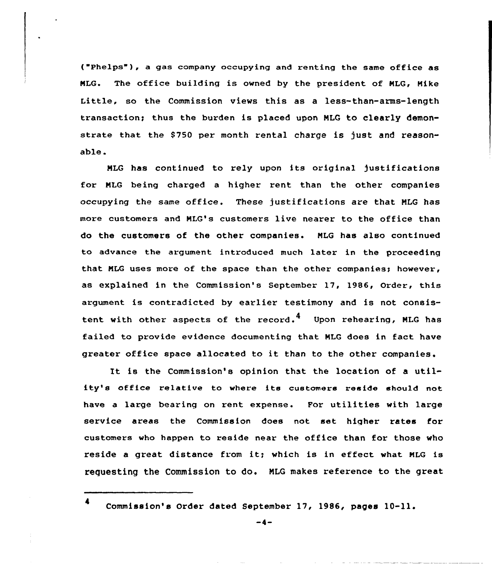("Phelps"), a gas company occupying and renting the same office as NLG. The office building is owned by the president of NLG, Nike Little, so the Commission views this as a less-than-arms-length transaction; thus the burden is placed upon NLG to clearly demonstrate that the \$750 per month rental charge is just and reasonable.

NLG has cantinued to rely upon its original justifications for NLG being charged a higher rent than the other companies occupying the same office. These justifications are that NLG has mare customers and MLG's customers live nearer to the office than do the customers of the other companies. NLG has also continued to advance the argument introduced much later in the proceeding that MLG uses more of the space than the other companies; however, as explained in the Commission's September 17, 1986, Order, this argument is contradicted by earlier testimony and is not consistent with other aspects of the record.<sup>4</sup> Upon rehearing, MLG has failed ta provide evidence documenting that NLG does in fact have greatex office space allocated to it than to the other companies.

It is the Commission's opinion that the location of <sup>a</sup> utility's office relative to where its customers reside should not have a large bearing on rent expense. For utilities with large service areas the Commission does not set higher xates for customers wha happen ta reside near the office than for those who reside <sup>a</sup> great distance from it; which is in effect what NLG is requesting the Commission to do. NLG makes reference to the great

Commission's Order dated September 17, 1986, pages 10-11.

-4-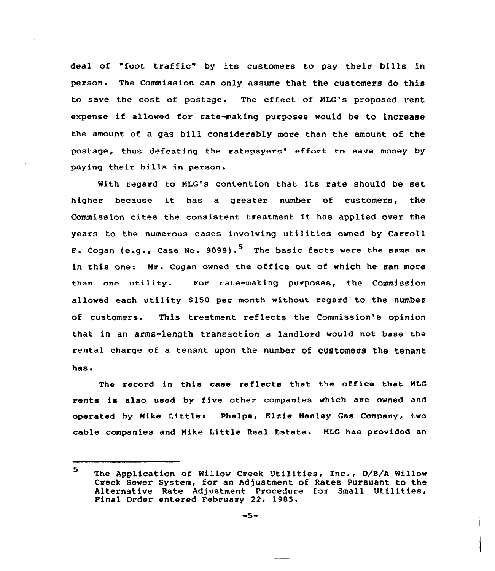deal of "foot traffic" by its customers to pay their bills in person. The Commission can only assume that the customers do this to save the cost of postage. The effect of MLG's proposed rent expense if allowed for rate-making purposes would be to increase the amount of a gas bill considerably more than the amount of the postage, thus defeating the ratepayers' effort to save money by paying their bills in person.

With regard to NLG's contention that its rate should be set higher because it has <sup>a</sup> greater number of customers, the Commission cites the consistent treatment it has applied over the years to the numerous cases involving utilities owned by Carroll F. Cogan (e.g., Case No. 9099).<sup>5</sup> The basic facts were the same as in this one: Mr. Cogan owned the office out of which he ran more than one utility. For rate-making purposes, the Commission allowed each utility 8150 per month without regard to the number of customers. This treatment reflects the Commission's opinion that in an arms-length transaction a landlord would not base the rental charge of a tenant upon the number of customers the tenant has.

The record in this case reflects that the office that MLG rents is also used by five other companies which are owned and operated by Mike Little: Phelps, Elzie Neeley Gas Company, two cable companies and Nike Little Real Fstate. NLG has provided an

 $\mathcal{L}_{\mathcal{L}} \cdot \mathcal{L}_{\mathcal{L}} = \mathcal{L}_{\mathcal{L}} - \mathcal{L}_{\mathcal{L}} - \mathcal{L}_{\mathcal{L}}$ 

the means of the company

<sup>5</sup> The Application of Willow Creek Utilities, Inc., D/8/A Willow Creek Sewer System, for an Ad/ustment of Rates Pursuant to the Alternative Rate Adjustment Procedure for Small Utilities, Final Order entered February 22, 1985.